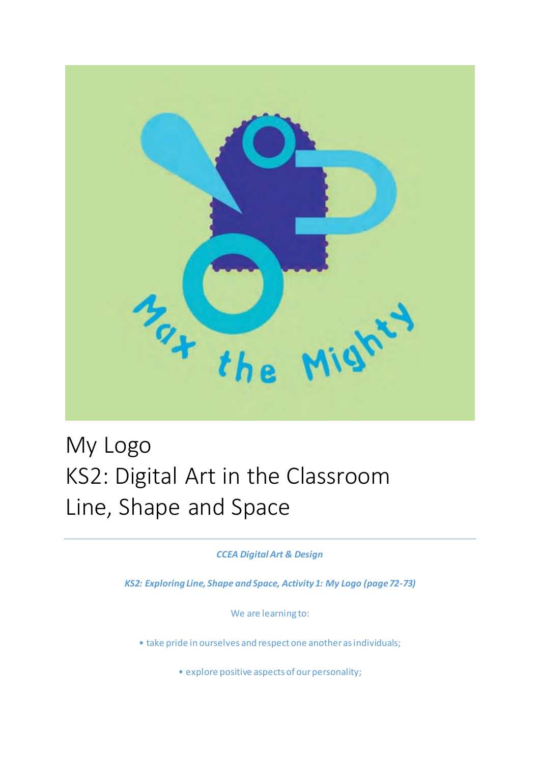

## My Logo KS2: Digital Art in the Classroom Line, Shape and Space

*CCEA Digital Art & Design*

*KS2: Exploring Line, Shape and Space, Activity 1: My Logo (page 72-73)*

We are learning to:

• take pride in ourselves and respect one another as individuals;

• explore positive aspects of our personality;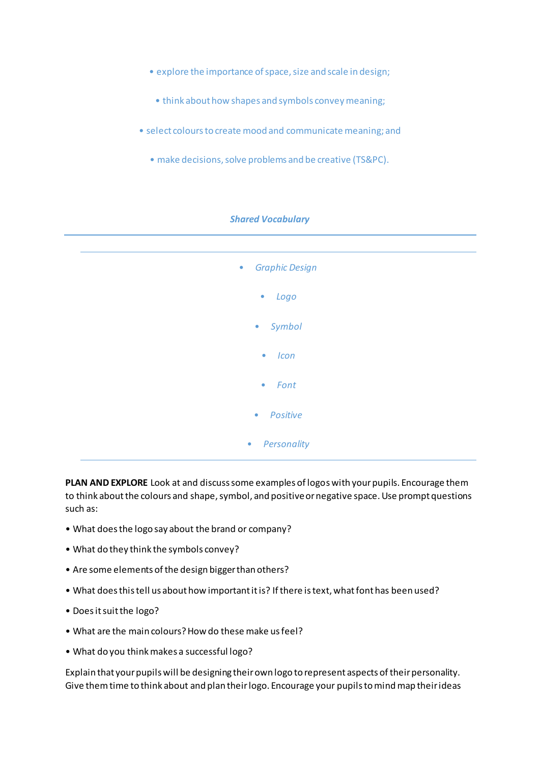- explore the importance of space, size and scale in design;
- think about how shapes and symbols convey meaning;
- select colours to create mood and communicate meaning; and
	- make decisions, solve problems and be creative (TS&PC).



**PLAN AND EXPLORE** Look at and discuss some examples of logos with your pupils. Encourage them to think about the colours and shape, symbol, and positive or negative space. Use prompt questions such as:

- What does the logo say about the brand or company?
- What do they think the symbols convey?
- Are some elements of the design bigger than others?
- What does this tell us about how important it is? If there is text, what font has been used?
- Does it suit the logo?
- What are the main colours? How do these make us feel?
- What do you think makes a successful logo?

Explain that your pupils will be designing their own logo to represent aspects of their personality. Give them time to think about and plan their logo. Encourage your pupils to mind map their ideas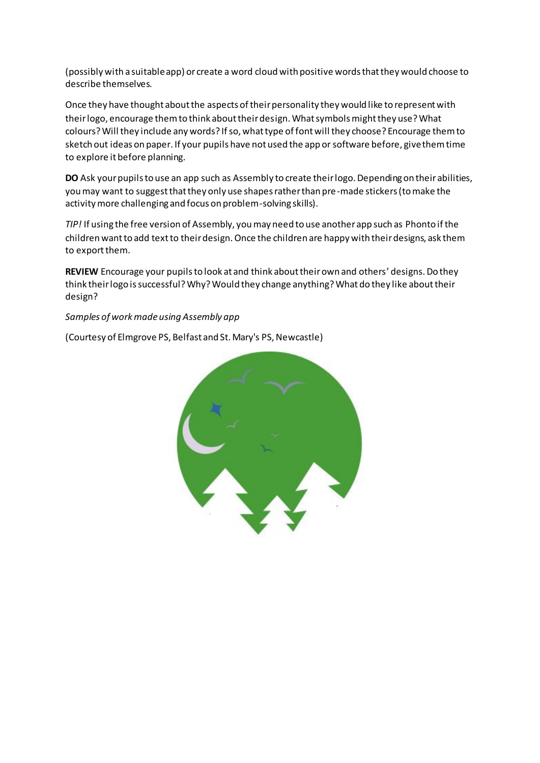(possibly with a suitable app) or create a word cloud with positive words that they would choose to describe themselves.

Once they have thought about the aspects of their personality they would like to represent with their logo, encourage them to think about their design. What symbols might they use? What colours? Will they include any words? If so, what type of font will they choose? Encourage them to sketch out ideas on paper. If your pupils have not used the app or software before, give them time to explore it before planning.

**DO** Ask your pupils to use an app such as Assembly to create their logo. Depending on their abilities, you may want to suggest that they only use shapes rather than pre-made stickers (to make the activity more challenging and focus on problem-solving skills).

*TIP!* If using the free version of Assembly, you may need to use another app such as Phonto if the children want to add text to their design. Once the children are happy with their designs, ask them to export them.

**REVIEW** Encourage your pupils to look at and think about their own and others' designs. Do they think their logo is successful? Why? Would they change anything? What do they like about their design?

## *Samples of work made using Assembly app*

(Courtesy of Elmgrove PS, Belfast and St. Mary's PS, Newcastle)

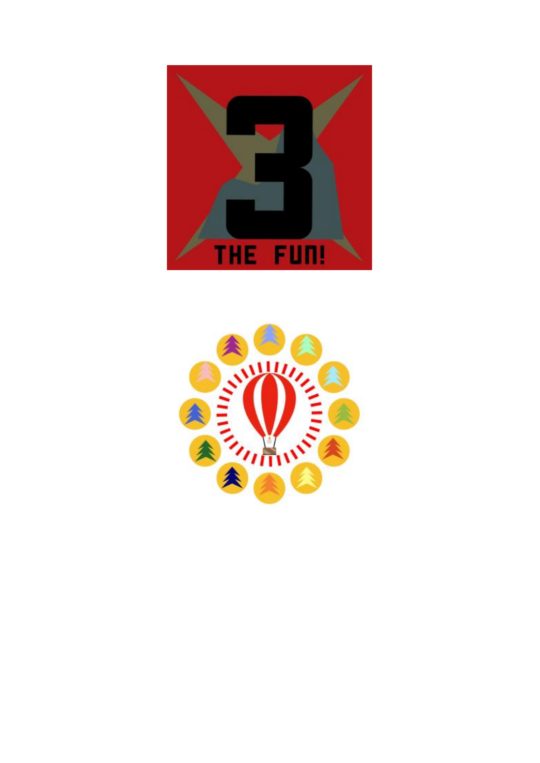

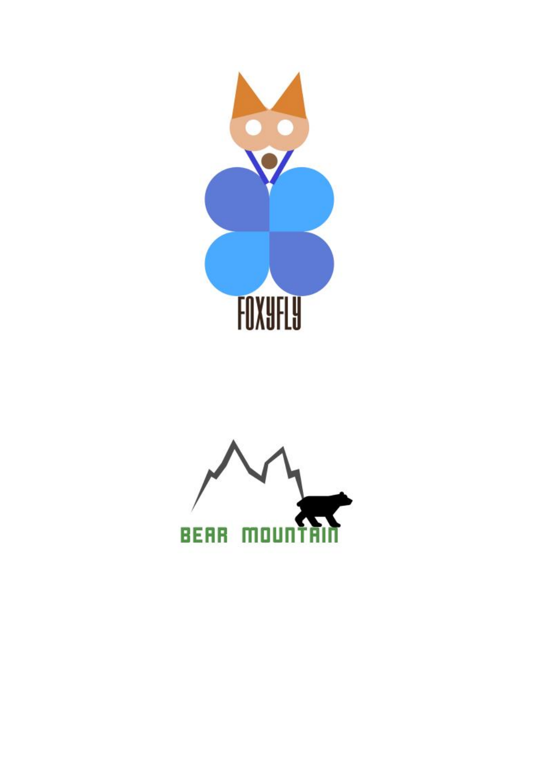